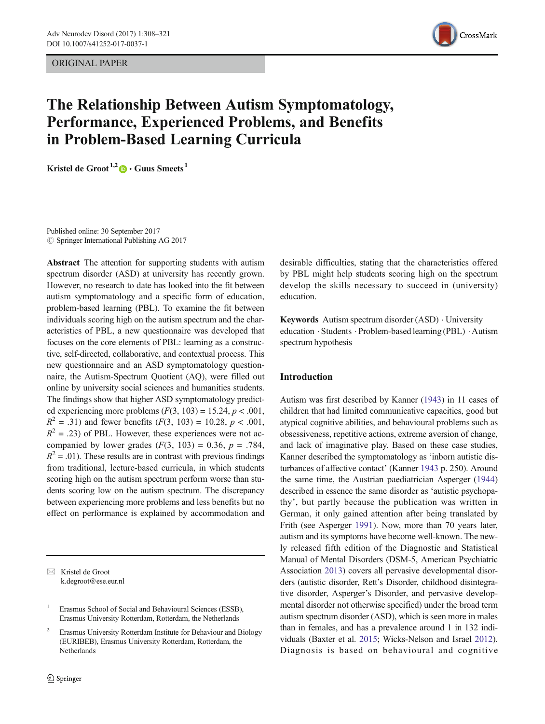ORIGINAL PAPER



# The Relationship Between Autism Symptomatology, Performance, Experienced Problems, and Benefits in Problem-Based Learning Curricula

Kristel de Groot<sup>1,2</sup>  $\bullet$  · Guus Smeets<sup>1</sup>

Published online: 30 September 2017  $\circ$  Springer International Publishing AG 2017

Abstract The attention for supporting students with autism spectrum disorder (ASD) at university has recently grown. However, no research to date has looked into the fit between autism symptomatology and a specific form of education, problem-based learning (PBL). To examine the fit between individuals scoring high on the autism spectrum and the characteristics of PBL, a new questionnaire was developed that focuses on the core elements of PBL: learning as a constructive, self-directed, collaborative, and contextual process. This new questionnaire and an ASD symptomatology questionnaire, the Autism-Spectrum Quotient (AQ), were filled out online by university social sciences and humanities students. The findings show that higher ASD symptomatology predicted experiencing more problems  $(F(3, 103) = 15.24, p < .001,$  $R^2 = .31$ ) and fewer benefits (F(3, 103) = 10.28, p < .001,  $R^2$  = .23) of PBL. However, these experiences were not accompanied by lower grades  $(F(3, 103) = 0.36, p = .784,$  $R^2$  = .01). These results are in contrast with previous findings from traditional, lecture-based curricula, in which students scoring high on the autism spectrum perform worse than students scoring low on the autism spectrum. The discrepancy between experiencing more problems and less benefits but no effect on performance is explained by accommodation and

 $\boxtimes$  Kristel de Groot [k.degroot@ese.eur.nl](mailto:k.degroot@ese.eur.nl) desirable difficulties, stating that the characteristics offered by PBL might help students scoring high on the spectrum develop the skills necessary to succeed in (university) education.

Keywords Autism spectrum disorder (ASD) . University education . Students . Problem-based learning (PBL) .Autism spectrum hypothesis

#### Introduction

Autism was first described by Kanner [\(1943\)](#page-12-0) in 11 cases of children that had limited communicative capacities, good but atypical cognitive abilities, and behavioural problems such as obsessiveness, repetitive actions, extreme aversion of change, and lack of imaginative play. Based on these case studies, Kanner described the symptomatology as 'inborn autistic disturbances of affective contact' (Kanner [1943](#page-12-0) p. 250). Around the same time, the Austrian paediatrician Asperger [\(1944](#page-11-0)) described in essence the same disorder as 'autistic psychopathy', but partly because the publication was written in German, it only gained attention after being translated by Frith (see Asperger [1991\)](#page-11-0). Now, more than 70 years later, autism and its symptoms have become well-known. The newly released fifth edition of the Diagnostic and Statistical Manual of Mental Disorders (DSM-5, American Psychiatric Association [2013](#page-11-0)) covers all pervasive developmental disorders (autistic disorder, Rett's Disorder, childhood disintegrative disorder, Asperger's Disorder, and pervasive developmental disorder not otherwise specified) under the broad term autism spectrum disorder (ASD), which is seen more in males than in females, and has a prevalence around 1 in 132 individuals (Baxter et al. [2015](#page-11-0); Wicks-Nelson and Israel [2012\)](#page-13-0). Diagnosis is based on behavioural and cognitive

<sup>&</sup>lt;sup>1</sup> Erasmus School of Social and Behavioural Sciences (ESSB), Erasmus University Rotterdam, Rotterdam, the Netherlands

<sup>2</sup> Erasmus University Rotterdam Institute for Behaviour and Biology (EURIBEB), Erasmus University Rotterdam, Rotterdam, the Netherlands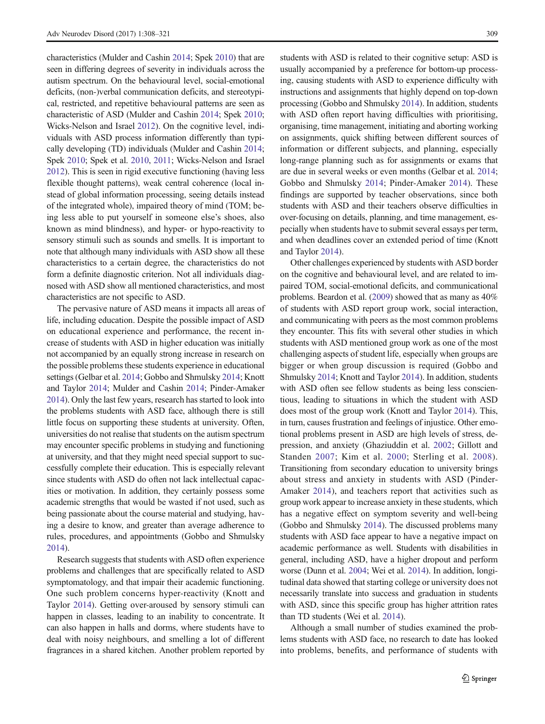characteristics (Mulder and Cashin [2014](#page-12-0); Spek [2010\)](#page-12-0) that are seen in differing degrees of severity in individuals across the autism spectrum. On the behavioural level, social-emotional deficits, (non-)verbal communication deficits, and stereotypical, restricted, and repetitive behavioural patterns are seen as characteristic of ASD (Mulder and Cashin [2014](#page-12-0); Spek [2010](#page-12-0); Wicks-Nelson and Israel [2012\)](#page-13-0). On the cognitive level, individuals with ASD process information differently than typically developing (TD) individuals (Mulder and Cashin [2014](#page-12-0); Spek [2010](#page-12-0); Spek et al. [2010,](#page-12-0) [2011](#page-12-0); Wicks-Nelson and Israel [2012\)](#page-13-0). This is seen in rigid executive functioning (having less flexible thought patterns), weak central coherence (local instead of global information processing, seeing details instead of the integrated whole), impaired theory of mind (TOM; being less able to put yourself in someone else's shoes, also known as mind blindness), and hyper- or hypo-reactivity to sensory stimuli such as sounds and smells. It is important to note that although many individuals with ASD show all these characteristics to a certain degree, the characteristics do not form a definite diagnostic criterion. Not all individuals diagnosed with ASD show all mentioned characteristics, and most characteristics are not specific to ASD.

The pervasive nature of ASD means it impacts all areas of life, including education. Despite the possible impact of ASD on educational experience and performance, the recent increase of students with ASD in higher education was initially not accompanied by an equally strong increase in research on the possible problems these students experience in educational settings (Gelbar et al. [2014](#page-12-0); Gobbo and Shmulsky [2014](#page-12-0); Knott and Taylor [2014](#page-12-0); Mulder and Cashin [2014](#page-12-0); Pinder-Amaker [2014\)](#page-12-0). Only the last few years, research has started to look into the problems students with ASD face, although there is still little focus on supporting these students at university. Often, universities do not realise that students on the autism spectrum may encounter specific problems in studying and functioning at university, and that they might need special support to successfully complete their education. This is especially relevant since students with ASD do often not lack intellectual capacities or motivation. In addition, they certainly possess some academic strengths that would be wasted if not used, such as being passionate about the course material and studying, having a desire to know, and greater than average adherence to rules, procedures, and appointments (Gobbo and Shmulsky [2014\)](#page-12-0).

Research suggests that students with ASD often experience problems and challenges that are specifically related to ASD symptomatology, and that impair their academic functioning. One such problem concerns hyper-reactivity (Knott and Taylor [2014](#page-12-0)). Getting over-aroused by sensory stimuli can happen in classes, leading to an inability to concentrate. It can also happen in halls and dorms, where students have to deal with noisy neighbours, and smelling a lot of different fragrances in a shared kitchen. Another problem reported by students with ASD is related to their cognitive setup: ASD is usually accompanied by a preference for bottom-up processing, causing students with ASD to experience difficulty with instructions and assignments that highly depend on top-down processing (Gobbo and Shmulsky [2014](#page-12-0)). In addition, students with ASD often report having difficulties with prioritising, organising, time management, initiating and aborting working on assignments, quick shifting between different sources of information or different subjects, and planning, especially long-range planning such as for assignments or exams that are due in several weeks or even months (Gelbar et al. [2014;](#page-12-0) Gobbo and Shmulsky [2014](#page-12-0); Pinder-Amaker [2014\)](#page-12-0). These findings are supported by teacher observations, since both students with ASD and their teachers observe difficulties in over-focusing on details, planning, and time management, especially when students have to submit several essays per term, and when deadlines cover an extended period of time (Knott and Taylor [2014](#page-12-0)).

Other challenges experienced by students with ASD border on the cognitive and behavioural level, and are related to impaired TOM, social-emotional deficits, and communicational problems. Beardon et al. ([2009](#page-12-0)) showed that as many as 40% of students with ASD report group work, social interaction, and communicating with peers as the most common problems they encounter. This fits with several other studies in which students with ASD mentioned group work as one of the most challenging aspects of student life, especially when groups are bigger or when group discussion is required (Gobbo and Shmulsky [2014;](#page-12-0) Knott and Taylor [2014\)](#page-12-0). In addition, students with ASD often see fellow students as being less conscientious, leading to situations in which the student with ASD does most of the group work (Knott and Taylor [2014](#page-12-0)). This, in turn, causes frustration and feelings of injustice. Other emotional problems present in ASD are high levels of stress, depression, and anxiety (Ghaziuddin et al. [2002;](#page-12-0) Gillott and Standen [2007](#page-12-0); Kim et al. [2000](#page-12-0); Sterling et al. [2008](#page-12-0)). Transitioning from secondary education to university brings about stress and anxiety in students with ASD (Pinder-Amaker [2014](#page-12-0)), and teachers report that activities such as group work appear to increase anxiety in these students, which has a negative effect on symptom severity and well-being (Gobbo and Shmulsky [2014](#page-12-0)). The discussed problems many students with ASD face appear to have a negative impact on academic performance as well. Students with disabilities in general, including ASD, have a higher dropout and perform worse (Dunn et al. [2004;](#page-12-0) Wei et al. [2014](#page-13-0)). In addition, longitudinal data showed that starting college or university does not necessarily translate into success and graduation in students with ASD, since this specific group has higher attrition rates than TD students (Wei et al. [2014\)](#page-13-0).

Although a small number of studies examined the problems students with ASD face, no research to date has looked into problems, benefits, and performance of students with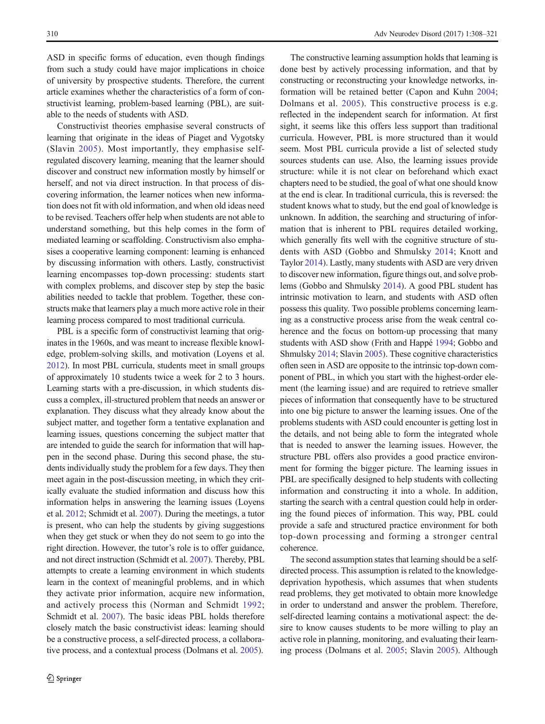ASD in specific forms of education, even though findings from such a study could have major implications in choice of university by prospective students. Therefore, the current article examines whether the characteristics of a form of constructivist learning, problem-based learning (PBL), are suitable to the needs of students with ASD.

Constructivist theories emphasise several constructs of learning that originate in the ideas of Piaget and Vygotsky (Slavin [2005](#page-12-0)). Most importantly, they emphasise selfregulated discovery learning, meaning that the learner should discover and construct new information mostly by himself or herself, and not via direct instruction. In that process of discovering information, the learner notices when new information does not fit with old information, and when old ideas need to be revised. Teachers offer help when students are not able to understand something, but this help comes in the form of mediated learning or scaffolding. Constructivism also emphasises a cooperative learning component: learning is enhanced by discussing information with others. Lastly, constructivist learning encompasses top-down processing: students start with complex problems, and discover step by step the basic abilities needed to tackle that problem. Together, these constructs make that learners play a much more active role in their learning process compared to most traditional curricula.

PBL is a specific form of constructivist learning that originates in the 1960s, and was meant to increase flexible knowledge, problem-solving skills, and motivation (Loyens et al. [2012\)](#page-12-0). In most PBL curricula, students meet in small groups of approximately 10 students twice a week for 2 to 3 hours. Learning starts with a pre-discussion, in which students discuss a complex, ill-structured problem that needs an answer or explanation. They discuss what they already know about the subject matter, and together form a tentative explanation and learning issues, questions concerning the subject matter that are intended to guide the search for information that will happen in the second phase. During this second phase, the students individually study the problem for a few days. They then meet again in the post-discussion meeting, in which they critically evaluate the studied information and discuss how this information helps in answering the learning issues (Loyens et al. [2012;](#page-12-0) Schmidt et al. [2007](#page-12-0)). During the meetings, a tutor is present, who can help the students by giving suggestions when they get stuck or when they do not seem to go into the right direction. However, the tutor's role is to offer guidance, and not direct instruction (Schmidt et al. [2007](#page-12-0)). Thereby, PBL attempts to create a learning environment in which students learn in the context of meaningful problems, and in which they activate prior information, acquire new information, and actively process this (Norman and Schmidt [1992](#page-12-0); Schmidt et al. [2007](#page-12-0)). The basic ideas PBL holds therefore closely match the basic constructivist ideas: learning should be a constructive process, a self-directed process, a collaborative process, and a contextual process (Dolmans et al. [2005](#page-12-0)).

The constructive learning assumption holds that learning is done best by actively processing information, and that by constructing or reconstructing your knowledge networks, information will be retained better (Capon and Kuhn [2004;](#page-12-0) Dolmans et al. [2005\)](#page-12-0). This constructive process is e.g. reflected in the independent search for information. At first sight, it seems like this offers less support than traditional curricula. However, PBL is more structured than it would seem. Most PBL curricula provide a list of selected study sources students can use. Also, the learning issues provide structure: while it is not clear on beforehand which exact chapters need to be studied, the goal of what one should know at the end is clear. In traditional curricula, this is reversed: the student knows what to study, but the end goal of knowledge is unknown. In addition, the searching and structuring of information that is inherent to PBL requires detailed working, which generally fits well with the cognitive structure of students with ASD (Gobbo and Shmulsky [2014;](#page-12-0) Knott and Taylor [2014\)](#page-12-0). Lastly, many students with ASD are very driven to discover new information, figure things out, and solve problems (Gobbo and Shmulsky [2014\)](#page-12-0). A good PBL student has intrinsic motivation to learn, and students with ASD often possess this quality. Two possible problems concerning learning as a constructive process arise from the weak central coherence and the focus on bottom-up processing that many students with ASD show (Frith and Happé [1994](#page-12-0); Gobbo and Shmulsky [2014;](#page-12-0) Slavin [2005](#page-12-0)). These cognitive characteristics often seen in ASD are opposite to the intrinsic top-down component of PBL, in which you start with the highest-order element (the learning issue) and are required to retrieve smaller pieces of information that consequently have to be structured into one big picture to answer the learning issues. One of the problems students with ASD could encounter is getting lost in the details, and not being able to form the integrated whole that is needed to answer the learning issues. However, the structure PBL offers also provides a good practice environment for forming the bigger picture. The learning issues in PBL are specifically designed to help students with collecting information and constructing it into a whole. In addition, starting the search with a central question could help in ordering the found pieces of information. This way, PBL could provide a safe and structured practice environment for both top-down processing and forming a stronger central coherence.

The second assumption states that learning should be a selfdirected process. This assumption is related to the knowledgedeprivation hypothesis, which assumes that when students read problems, they get motivated to obtain more knowledge in order to understand and answer the problem. Therefore, self-directed learning contains a motivational aspect: the desire to know causes students to be more willing to play an active role in planning, monitoring, and evaluating their learning process (Dolmans et al. [2005](#page-12-0); Slavin [2005](#page-12-0)). Although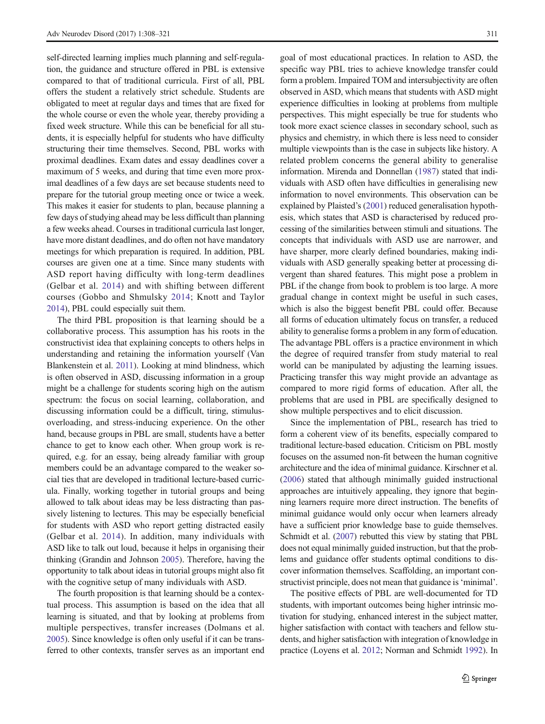self-directed learning implies much planning and self-regulation, the guidance and structure offered in PBL is extensive compared to that of traditional curricula. First of all, PBL offers the student a relatively strict schedule. Students are obligated to meet at regular days and times that are fixed for the whole course or even the whole year, thereby providing a fixed week structure. While this can be beneficial for all students, it is especially helpful for students who have difficulty structuring their time themselves. Second, PBL works with proximal deadlines. Exam dates and essay deadlines cover a maximum of 5 weeks, and during that time even more proximal deadlines of a few days are set because students need to prepare for the tutorial group meeting once or twice a week. This makes it easier for students to plan, because planning a few days of studying ahead may be less difficult than planning a few weeks ahead. Courses in traditional curricula last longer, have more distant deadlines, and do often not have mandatory meetings for which preparation is required. In addition, PBL courses are given one at a time. Since many students with ASD report having difficulty with long-term deadlines (Gelbar et al. [2014](#page-12-0)) and with shifting between different courses (Gobbo and Shmulsky [2014](#page-12-0); Knott and Taylor [2014\)](#page-12-0), PBL could especially suit them.

The third PBL proposition is that learning should be a collaborative process. This assumption has his roots in the constructivist idea that explaining concepts to others helps in understanding and retaining the information yourself (Van Blankenstein et al. [2011\)](#page-12-0). Looking at mind blindness, which is often observed in ASD, discussing information in a group might be a challenge for students scoring high on the autism spectrum: the focus on social learning, collaboration, and discussing information could be a difficult, tiring, stimulusoverloading, and stress-inducing experience. On the other hand, because groups in PBL are small, students have a better chance to get to know each other. When group work is required, e.g. for an essay, being already familiar with group members could be an advantage compared to the weaker social ties that are developed in traditional lecture-based curricula. Finally, working together in tutorial groups and being allowed to talk about ideas may be less distracting than passively listening to lectures. This may be especially beneficial for students with ASD who report getting distracted easily (Gelbar et al. [2014](#page-12-0)). In addition, many individuals with ASD like to talk out loud, because it helps in organising their thinking (Grandin and Johnson [2005\)](#page-12-0). Therefore, having the opportunity to talk about ideas in tutorial groups might also fit with the cognitive setup of many individuals with ASD.

The fourth proposition is that learning should be a contextual process. This assumption is based on the idea that all learning is situated, and that by looking at problems from multiple perspectives, transfer increases (Dolmans et al. [2005\)](#page-12-0). Since knowledge is often only useful if it can be transferred to other contexts, transfer serves as an important end goal of most educational practices. In relation to ASD, the specific way PBL tries to achieve knowledge transfer could form a problem. Impaired TOM and intersubjectivity are often observed in ASD, which means that students with ASD might experience difficulties in looking at problems from multiple perspectives. This might especially be true for students who took more exact science classes in secondary school, such as physics and chemistry, in which there is less need to consider multiple viewpoints than is the case in subjects like history. A related problem concerns the general ability to generalise information. Mirenda and Donnellan [\(1987\)](#page-12-0) stated that individuals with ASD often have difficulties in generalising new information to novel environments. This observation can be explained by Plaisted's [\(2001\)](#page-12-0) reduced generalisation hypothesis, which states that ASD is characterised by reduced processing of the similarities between stimuli and situations. The concepts that individuals with ASD use are narrower, and have sharper, more clearly defined boundaries, making individuals with ASD generally speaking better at processing divergent than shared features. This might pose a problem in PBL if the change from book to problem is too large. A more gradual change in context might be useful in such cases, which is also the biggest benefit PBL could offer. Because all forms of education ultimately focus on transfer, a reduced ability to generalise forms a problem in any form of education. The advantage PBL offers is a practice environment in which the degree of required transfer from study material to real world can be manipulated by adjusting the learning issues. Practicing transfer this way might provide an advantage as compared to more rigid forms of education. After all, the problems that are used in PBL are specifically designed to show multiple perspectives and to elicit discussion.

Since the implementation of PBL, research has tried to form a coherent view of its benefits, especially compared to traditional lecture-based education. Criticism on PBL mostly focuses on the assumed non-fit between the human cognitive architecture and the idea of minimal guidance. Kirschner et al. [\(2006](#page-12-0)) stated that although minimally guided instructional approaches are intuitively appealing, they ignore that beginning learners require more direct instruction. The benefits of minimal guidance would only occur when learners already have a sufficient prior knowledge base to guide themselves. Schmidt et al. [\(2007\)](#page-12-0) rebutted this view by stating that PBL does not equal minimally guided instruction, but that the problems and guidance offer students optimal conditions to discover information themselves. Scaffolding, an important constructivist principle, does not mean that guidance is'minimal'.

The positive effects of PBL are well-documented for TD students, with important outcomes being higher intrinsic motivation for studying, enhanced interest in the subject matter, higher satisfaction with contact with teachers and fellow students, and higher satisfaction with integration of knowledge in practice (Loyens et al. [2012;](#page-12-0) Norman and Schmidt [1992\)](#page-12-0). In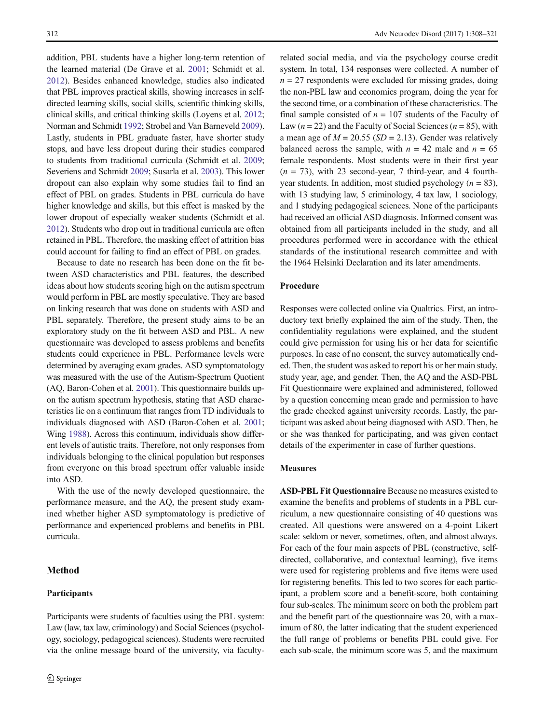addition, PBL students have a higher long-term retention of the learned material (De Grave et al. [2001;](#page-12-0) Schmidt et al. [2012\)](#page-12-0). Besides enhanced knowledge, studies also indicated that PBL improves practical skills, showing increases in selfdirected learning skills, social skills, scientific thinking skills, clinical skills, and critical thinking skills (Loyens et al. [2012](#page-12-0); Norman and Schmidt [1992;](#page-12-0) Strobel and Van Barneveld [2009\)](#page-12-0). Lastly, students in PBL graduate faster, have shorter study stops, and have less dropout during their studies compared to students from traditional curricula (Schmidt et al. [2009](#page-12-0); Severiens and Schmidt [2009](#page-12-0); Susarla et al. [2003](#page-12-0)). This lower dropout can also explain why some studies fail to find an effect of PBL on grades. Students in PBL curricula do have higher knowledge and skills, but this effect is masked by the lower dropout of especially weaker students (Schmidt et al. [2012\)](#page-12-0). Students who drop out in traditional curricula are often retained in PBL. Therefore, the masking effect of attrition bias could account for failing to find an effect of PBL on grades.

Because to date no research has been done on the fit between ASD characteristics and PBL features, the described ideas about how students scoring high on the autism spectrum would perform in PBL are mostly speculative. They are based on linking research that was done on students with ASD and PBL separately. Therefore, the present study aims to be an exploratory study on the fit between ASD and PBL. A new questionnaire was developed to assess problems and benefits students could experience in PBL. Performance levels were determined by averaging exam grades. ASD symptomatology was measured with the use of the Autism-Spectrum Quotient (AQ, Baron-Cohen et al. [2001](#page-11-0)). This questionnaire builds upon the autism spectrum hypothesis, stating that ASD characteristics lie on a continuum that ranges from TD individuals to individuals diagnosed with ASD (Baron-Cohen et al. [2001](#page-11-0); Wing [1988\)](#page-13-0). Across this continuum, individuals show different levels of autistic traits. Therefore, not only responses from individuals belonging to the clinical population but responses from everyone on this broad spectrum offer valuable inside into ASD.

With the use of the newly developed questionnaire, the performance measure, and the AQ, the present study examined whether higher ASD symptomatology is predictive of performance and experienced problems and benefits in PBL curricula.

# Method

# **Participants**

Participants were students of faculties using the PBL system: Law (law, tax law, criminology) and Social Sciences (psychology, sociology, pedagogical sciences). Students were recruited via the online message board of the university, via faculty-

related social media, and via the psychology course credit system. In total, 134 responses were collected. A number of  $n = 27$  respondents were excluded for missing grades, doing the non-PBL law and economics program, doing the year for the second time, or a combination of these characteristics. The final sample consisted of  $n = 107$  students of the Faculty of Law  $(n = 22)$  and the Faculty of Social Sciences  $(n = 85)$ , with a mean age of  $M = 20.55$  (SD = 2.13). Gender was relatively balanced across the sample, with  $n = 42$  male and  $n = 65$ female respondents. Most students were in their first year  $(n = 73)$ , with 23 second-year, 7 third-year, and 4 fourthyear students. In addition, most studied psychology ( $n = 83$ ), with 13 studying law, 5 criminology, 4 tax law, 1 sociology, and 1 studying pedagogical sciences. None of the participants had received an official ASD diagnosis. Informed consent was obtained from all participants included in the study, and all procedures performed were in accordance with the ethical standards of the institutional research committee and with the 1964 Helsinki Declaration and its later amendments.

## Procedure

Responses were collected online via Qualtrics. First, an introductory text briefly explained the aim of the study. Then, the confidentiality regulations were explained, and the student could give permission for using his or her data for scientific purposes. In case of no consent, the survey automatically ended. Then, the student was asked to report his or her main study, study year, age, and gender. Then, the AQ and the ASD-PBL Fit Questionnaire were explained and administered, followed by a question concerning mean grade and permission to have the grade checked against university records. Lastly, the participant was asked about being diagnosed with ASD. Then, he or she was thanked for participating, and was given contact details of the experimenter in case of further questions.

## Measures

ASD-PBL Fit Questionnaire Because no measures existed to examine the benefits and problems of students in a PBL curriculum, a new questionnaire consisting of 40 questions was created. All questions were answered on a 4-point Likert scale: seldom or never, sometimes, often, and almost always. For each of the four main aspects of PBL (constructive, selfdirected, collaborative, and contextual learning), five items were used for registering problems and five items were used for registering benefits. This led to two scores for each participant, a problem score and a benefit-score, both containing four sub-scales. The minimum score on both the problem part and the benefit part of the questionnaire was 20, with a maximum of 80, the latter indicating that the student experienced the full range of problems or benefits PBL could give. For each sub-scale, the minimum score was 5, and the maximum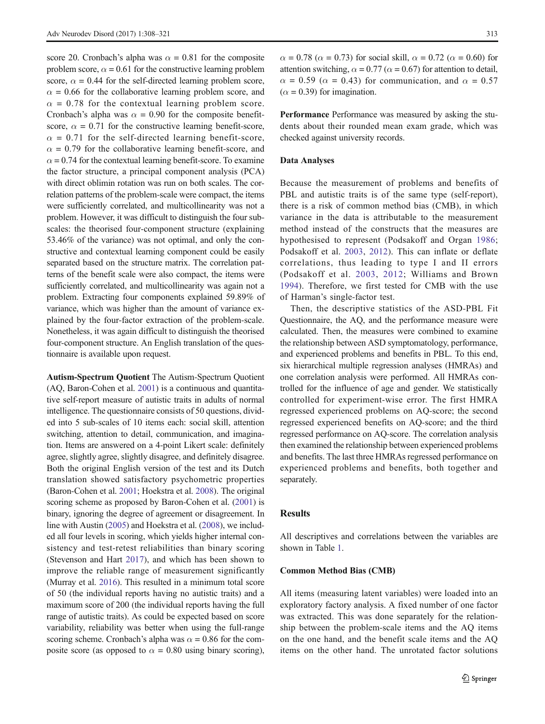score 20. Cronbach's alpha was  $\alpha = 0.81$  for the composite problem score,  $\alpha = 0.61$  for the constructive learning problem score,  $\alpha$  = 0.44 for the self-directed learning problem score,  $\alpha$  = 0.66 for the collaborative learning problem score, and  $\alpha$  = 0.78 for the contextual learning problem score. Cronbach's alpha was  $\alpha = 0.90$  for the composite benefitscore,  $\alpha = 0.71$  for the constructive learning benefit-score,  $\alpha$  = 0.71 for the self-directed learning benefit-score,  $\alpha$  = 0.79 for the collaborative learning benefit-score, and  $\alpha$  = 0.74 for the contextual learning benefit-score. To examine the factor structure, a principal component analysis (PCA) with direct oblimin rotation was run on both scales. The correlation patterns of the problem-scale were compact, the items were sufficiently correlated, and multicollinearity was not a problem. However, it was difficult to distinguish the four subscales: the theorised four-component structure (explaining 53.46% of the variance) was not optimal, and only the constructive and contextual learning component could be easily separated based on the structure matrix. The correlation patterns of the benefit scale were also compact, the items were sufficiently correlated, and multicollinearity was again not a problem. Extracting four components explained 59.89% of variance, which was higher than the amount of variance explained by the four-factor extraction of the problem-scale. Nonetheless, it was again difficult to distinguish the theorised four-component structure. An English translation of the questionnaire is available upon request.

Autism-Spectrum Quotient The Autism-Spectrum Quotient (AQ, Baron-Cohen et al. [2001](#page-11-0)) is a continuous and quantitative self-report measure of autistic traits in adults of normal intelligence. The questionnaire consists of 50 questions, divided into 5 sub-scales of 10 items each: social skill, attention switching, attention to detail, communication, and imagination. Items are answered on a 4-point Likert scale: definitely agree, slightly agree, slightly disagree, and definitely disagree. Both the original English version of the test and its Dutch translation showed satisfactory psychometric properties (Baron-Cohen et al. [2001;](#page-11-0) Hoekstra et al. [2008](#page-12-0)). The original scoring scheme as proposed by Baron-Cohen et al. [\(2001\)](#page-11-0) is binary, ignoring the degree of agreement or disagreement. In line with Austin [\(2005\)](#page-11-0) and Hoekstra et al. ([2008](#page-12-0)), we included all four levels in scoring, which yields higher internal consistency and test-retest reliabilities than binary scoring (Stevenson and Hart [2017](#page-12-0)), and which has been shown to improve the reliable range of measurement significantly (Murray et al. [2016\)](#page-12-0). This resulted in a minimum total score of 50 (the individual reports having no autistic traits) and a maximum score of 200 (the individual reports having the full range of autistic traits). As could be expected based on score variability, reliability was better when using the full-range scoring scheme. Cronbach's alpha was  $\alpha = 0.86$  for the composite score (as opposed to  $\alpha = 0.80$  using binary scoring),  $\alpha = 0.78$  ( $\alpha = 0.73$ ) for social skill,  $\alpha = 0.72$  ( $\alpha = 0.60$ ) for attention switching,  $\alpha = 0.77$  ( $\alpha = 0.67$ ) for attention to detail,  $\alpha = 0.59$  ( $\alpha = 0.43$ ) for communication, and  $\alpha = 0.57$  $(\alpha = 0.39)$  for imagination.

Performance Performance was measured by asking the students about their rounded mean exam grade, which was checked against university records.

#### Data Analyses

Because the measurement of problems and benefits of PBL and autistic traits is of the same type (self-report), there is a risk of common method bias (CMB), in which variance in the data is attributable to the measurement method instead of the constructs that the measures are hypothesised to represent (Podsakoff and Organ [1986;](#page-12-0) Podsakoff et al. [2003](#page-12-0), [2012](#page-12-0)). This can inflate or deflate correlations, thus leading to type I and II errors (Podsakoff et al. [2003,](#page-12-0) [2012](#page-12-0); Williams and Brown [1994](#page-13-0)). Therefore, we first tested for CMB with the use of Harman's single-factor test.

Then, the descriptive statistics of the ASD-PBL Fit Questionnaire, the AQ, and the performance measure were calculated. Then, the measures were combined to examine the relationship between ASD symptomatology, performance, and experienced problems and benefits in PBL. To this end, six hierarchical multiple regression analyses (HMRAs) and one correlation analysis were performed. All HMRAs controlled for the influence of age and gender. We statistically controlled for experiment-wise error. The first HMRA regressed experienced problems on AQ-score; the second regressed experienced benefits on AQ-score; and the third regressed performance on AQ-score. The correlation analysis then examined the relationship between experienced problems and benefits. The last three HMRAs regressed performance on experienced problems and benefits, both together and separately.

## Results

All descriptives and correlations between the variables are shown in Table [1](#page-6-0).

#### Common Method Bias (CMB)

All items (measuring latent variables) were loaded into an exploratory factory analysis. A fixed number of one factor was extracted. This was done separately for the relationship between the problem-scale items and the AQ items on the one hand, and the benefit scale items and the AQ items on the other hand. The unrotated factor solutions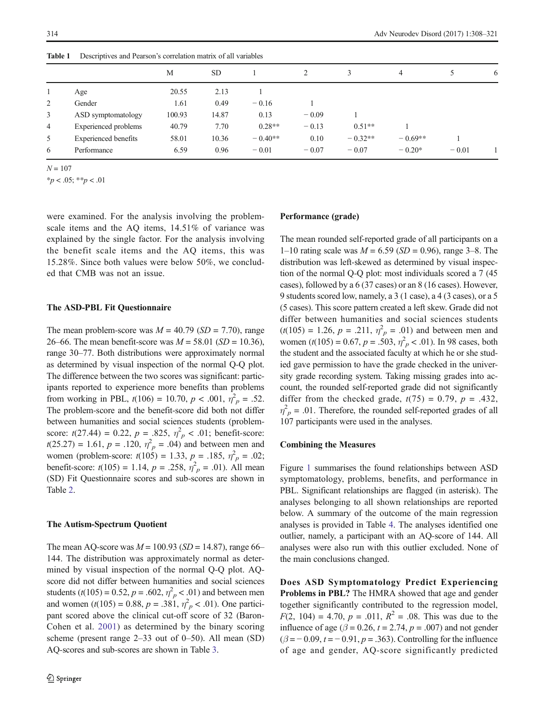|                |                             | M      | SD.   |           | C.      | 3         | 4         |         | 6 |
|----------------|-----------------------------|--------|-------|-----------|---------|-----------|-----------|---------|---|
| 1              | Age                         | 20.55  | 2.13  |           |         |           |           |         |   |
| 2              | Gender                      | 1.61   | 0.49  | $-0.16$   |         |           |           |         |   |
| 3              | ASD symptomatology          | 100.93 | 14.87 | 0.13      | $-0.09$ |           |           |         |   |
| $\overline{4}$ | Experienced problems        | 40.79  | 7.70  | $0.28**$  | $-0.13$ | $0.51**$  |           |         |   |
| 5              | <b>Experienced</b> benefits | 58.01  | 10.36 | $-0.40**$ | 0.10    | $-0.32**$ | $-0.69**$ |         |   |
| 6              | Performance                 | 6.59   | 0.96  | $-0.01$   | $-0.07$ | $-0.07$   | $-0.20*$  | $-0.01$ |   |

<span id="page-6-0"></span>Table 1 Descriptives and Pearson's correlation matrix of all variables

 $N = 107$ 

 $*_{p} < .05; **_{p} < .01$ 

were examined. For the analysis involving the problemscale items and the AQ items, 14.51% of variance was explained by the single factor. For the analysis involving the benefit scale items and the AQ items, this was 15.28%. Since both values were below 50%, we concluded that CMB was not an issue.

## The ASD-PBL Fit Questionnaire

The mean problem-score was  $M = 40.79$  (SD = 7.70), range 26–66. The mean benefit-score was  $M = 58.01$  (SD = 10.36), range 30–77. Both distributions were approximately normal as determined by visual inspection of the normal Q-Q plot. The difference between the two scores was significant: participants reported to experience more benefits than problems from working in PBL,  $t(106) = 10.70$ ,  $p < .001$ ,  $\eta_p^2 = .52$ . The problem-score and the benefit-score did both not differ between humanities and social sciences students (problemscore:  $t(27.44) = 0.22$ ,  $p = .825$ ,  $\eta_p^2 < .01$ ; benefit-score:  $t(25.27) = 1.61, p = .120, \eta_p^2 = .04$  and between men and women (problem-score:  $t(105) = 1.33$ ,  $p = .185$ ,  $\eta_p^2 = .02$ ; benefit-score:  $t(105) = 1.14$ ,  $p = .258$ ,  $\eta_p^2 = .01$ ). All mean (SD) Fit Questionnaire scores and sub-scores are shown in Table [2.](#page-7-0)

## The Autism-Spectrum Quotient

The mean AQ-score was  $M = 100.93$  (SD = 14.87), range 66– 144. The distribution was approximately normal as determined by visual inspection of the normal Q-Q plot. AQscore did not differ between humanities and social sciences students ( $t(105) = 0.52$ ,  $p = .602$ ,  $\eta_p^2 < .01$ ) and between men and women  $(t(105) = 0.88, p = .381, \eta<sup>2</sup><sub>p</sub> < .01)$ . One participant scored above the clinical cut-off score of 32 (Baron-Cohen et al. [2001\)](#page-11-0) as determined by the binary scoring scheme (present range 2–33 out of 0–50). All mean (SD) AQ-scores and sub-scores are shown in Table [3.](#page-7-0)

#### Performance (grade)

The mean rounded self-reported grade of all participants on a 1–10 rating scale was  $M = 6.59$  (*SD* = 0.96), range 3–8. The distribution was left-skewed as determined by visual inspection of the normal Q-Q plot: most individuals scored a 7 (45 cases), followed by a 6 (37 cases) or an 8 (16 cases). However, 9 students scored low, namely, a 3 (1 case), a 4 (3 cases), or a 5 (5 cases). This score pattern created a left skew. Grade did not differ between humanities and social sciences students  $(t(105) = 1.26, p = .211, \eta_p^2 = .01)$  and between men and women ( $t(105) = 0.67$ ,  $p = .503$ ,  $\eta_p^2 < .01$ ). In 98 cases, both the student and the associated faculty at which he or she studied gave permission to have the grade checked in the university grade recording system. Taking missing grades into account, the rounded self-reported grade did not significantly differ from the checked grade,  $t(75) = 0.79$ ,  $p = .432$ ,  $\eta_p^2$  = .01. Therefore, the rounded self-reported grades of all 107 participants were used in the analyses.

#### Combining the Measures

Figure [1](#page-8-0) summarises the found relationships between ASD symptomatology, problems, benefits, and performance in PBL. Significant relationships are flagged (in asterisk). The analyses belonging to all shown relationships are reported below. A summary of the outcome of the main regression analyses is provided in Table [4.](#page-9-0) The analyses identified one outlier, namely, a participant with an AQ-score of 144. All analyses were also run with this outlier excluded. None of the main conclusions changed.

Does ASD Symptomatology Predict Experiencing Problems in PBL? The HMRA showed that age and gender together significantly contributed to the regression model,  $F(2, 104) = 4.70, p = .011, R<sup>2</sup> = .08$ . This was due to the influence of age ( $\beta$  = 0.26, t = 2.74, p = .007) and not gender  $(\beta = -0.09, t = -0.91, p = .363)$ . Controlling for the influence of age and gender, AQ-score significantly predicted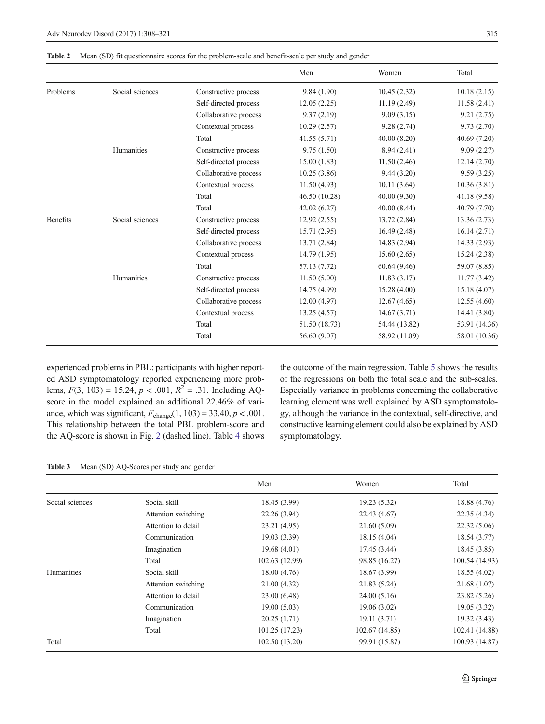<span id="page-7-0"></span>Table 2 Mean (SD) fit questionnaire scores for the problem-scale and benefit-scale per study and gender

|                 |                 |                       | Men           | Women         | Total         |
|-----------------|-----------------|-----------------------|---------------|---------------|---------------|
| Problems        | Social sciences | Constructive process  | 9.84(1.90)    | 10.45(2.32)   | 10.18(2.15)   |
|                 |                 | Self-directed process | 12.05(2.25)   | 11.19(2.49)   | 11.58(2.41)   |
|                 |                 | Collaborative process | 9.37(2.19)    | 9.09(3.15)    | 9.21(2.75)    |
|                 |                 | Contextual process    | 10.29(2.57)   | 9.28(2.74)    | 9.73(2.70)    |
|                 |                 | Total                 | 41.55(5.71)   | 40.00(8.20)   | 40.69(7.20)   |
|                 | Humanities      | Constructive process  | 9.75(1.50)    | 8.94(2.41)    | 9.09(2.27)    |
|                 |                 | Self-directed process | 15.00(1.83)   | 11.50(2.46)   | 12.14(2.70)   |
|                 |                 | Collaborative process | 10.25(3.86)   | 9.44(3.20)    | 9.59(3.25)    |
|                 |                 | Contextual process    | 11.50(4.93)   | 10.11(3.64)   | 10.36(3.81)   |
|                 |                 | Total                 | 46.50 (10.28) | 40.00 (9.30)  | 41.18 (9.58)  |
|                 |                 | Total                 | 42.02(6.27)   | 40.00 (8.44)  | 40.79 (7.70)  |
| <b>Benefits</b> | Social sciences | Constructive process  | 12.92(2.55)   | 13.72 (2.84)  | 13.36(2.73)   |
|                 |                 | Self-directed process | 15.71 (2.95)  | 16.49(2.48)   | 16.14(2.71)   |
|                 |                 | Collaborative process | 13.71 (2.84)  | 14.83 (2.94)  | 14.33(2.93)   |
|                 |                 | Contextual process    | 14.79(1.95)   | 15.60(2.65)   | 15.24(2.38)   |
|                 |                 | Total                 | 57.13 (7.72)  | 60.64 (9.46)  | 59.07 (8.85)  |
|                 | Humanities      | Constructive process  | 11.50(5.00)   | 11.83(3.17)   | 11.77(3.42)   |
|                 |                 | Self-directed process | 14.75 (4.99)  | 15.28(4.00)   | 15.18(4.07)   |
|                 |                 | Collaborative process | 12.00(4.97)   | 12.67(4.65)   | 12.55(4.60)   |
|                 |                 | Contextual process    | 13.25(4.57)   | 14.67(3.71)   | 14.41 (3.80)  |
|                 |                 | Total                 | 51.50 (18.73) | 54.44 (13.82) | 53.91 (14.36) |
|                 |                 |                       |               |               |               |

experienced problems in PBL: participants with higher reported ASD symptomatology reported experiencing more problems,  $F(3, 103) = 15.24$ ,  $p < .001$ ,  $R^2 = .31$ . Including AQscore in the model explained an additional 22.46% of variance, which was significant,  $F_{change}(1, 103) = 33.40, p < .001$ . This relationship between the total PBL problem-score and the AQ-score is shown in Fig. [2](#page-10-0) (dashed line). Table [4](#page-9-0) shows the outcome of the main regression. Table [5](#page-10-0) shows the results of the regressions on both the total scale and the sub-scales. Especially variance in problems concerning the collaborative learning element was well explained by ASD symptomatology, although the variance in the contextual, self-directive, and constructive learning element could also be explained by ASD symptomatology.

Total 56.60 (9.07) 58.92 (11.09) 58.01 (10.36)

| <b>Table 3</b> |  |  | Mean (SD) AQ-Scores per study and gender |  |
|----------------|--|--|------------------------------------------|--|
|----------------|--|--|------------------------------------------|--|

|                 |                     | Men            | Women          | Total          |
|-----------------|---------------------|----------------|----------------|----------------|
| Social sciences | Social skill        | 18.45 (3.99)   | 19.23 (5.32)   | 18.88 (4.76)   |
|                 | Attention switching | 22.26(3.94)    | 22.43 (4.67)   | 22.35(4.34)    |
|                 | Attention to detail | 23.21 (4.95)   | 21.60 (5.09)   | 22.32 (5.06)   |
|                 | Communication       | 19.03(3.39)    | 18.15 (4.04)   | 18.54 (3.77)   |
|                 | Imagination         | 19.68(4.01)    | 17.45 (3.44)   | 18.45(3.85)    |
|                 | Total               | 102.63 (12.99) | 98.85 (16.27)  | 100.54 (14.93) |
| Humanities      | Social skill        | 18.00(4.76)    | 18.67 (3.99)   | 18.55 (4.02)   |
|                 | Attention switching | 21.00 (4.32)   | 21.83 (5.24)   | 21.68(1.07)    |
|                 | Attention to detail | 23.00 (6.48)   | 24.00(5.16)    | 23.82 (5.26)   |
|                 | Communication       | 19.00(5.03)    | 19.06 (3.02)   | 19.05(3.32)    |
|                 | Imagination         | 20.25(1.71)    | 19.11(3.71)    | 19.32(3.43)    |
|                 | Total               | 101.25 (17.23) | 102.67 (14.85) | 102.41 (14.88) |
| Total           |                     | 102.50 (13.20) | 99.91 (15.87)  | 100.93 (14.87) |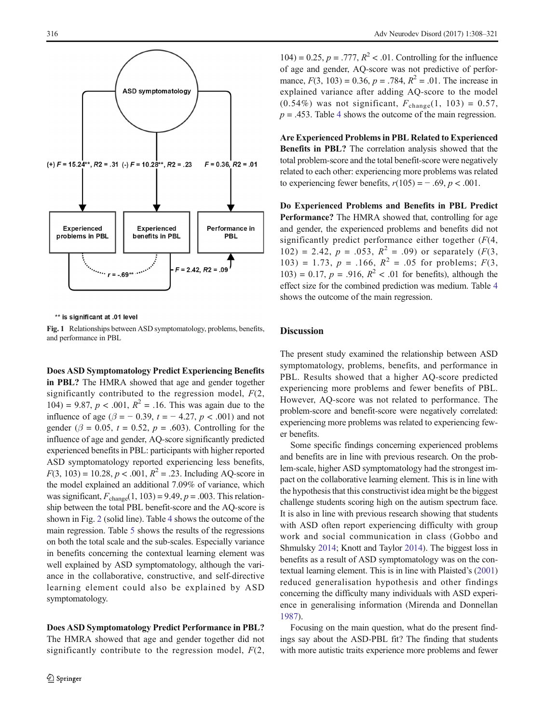<span id="page-8-0"></span>

\*\* is significant at .01 level

Fig. 1 Relationships between ASD symptomatology, problems, benefits, and performance in PBL

Does ASD Symptomatology Predict Experiencing Benefits in PBL? The HMRA showed that age and gender together significantly contributed to the regression model,  $F(2, 1)$ 104) = 9.87,  $p < .001$ ,  $R^2 = .16$ . This was again due to the influence of age ( $\beta$  = - 0.39, t = - 4.27, p < .001) and not gender ( $\beta$  = 0.05, t = 0.52, p = .603). Controlling for the influence of age and gender, AQ-score significantly predicted experienced benefits in PBL: participants with higher reported ASD symptomatology reported experiencing less benefits,  $F(3, 103) = 10.28, p < .001, R^2 = .23$ . Including AQ-score in the model explained an additional 7.09% of variance, which was significant,  $F_{change}(1, 103) = 9.49$ ,  $p = .003$ . This relationship between the total PBL benefit-score and the AQ-score is shown in Fig. [2](#page-10-0) (solid line). Table [4](#page-9-0) shows the outcome of the main regression. Table [5](#page-10-0) shows the results of the regressions on both the total scale and the sub-scales. Especially variance in benefits concerning the contextual learning element was well explained by ASD symptomatology, although the variance in the collaborative, constructive, and self-directive learning element could also be explained by ASD symptomatology.

Does ASD Symptomatology Predict Performance in PBL? The HMRA showed that age and gender together did not significantly contribute to the regression model,  $F(2)$ ,

 $104$ ) = 0.25,  $p = .777$ ,  $R^2 < .01$ . Controlling for the influence of age and gender, AQ-score was not predictive of performance,  $F(3, 103) = 0.36$ ,  $p = .784$ ,  $R^2 = .01$ . The increase in explained variance after adding AQ-score to the model  $(0.54\%)$  was not significant,  $F_{change}(1, 103) = 0.57$ ,  $p = .453$  $p = .453$  $p = .453$ . Table 4 shows the outcome of the main regression.

Are Experienced Problems in PBL Related to Experienced Benefits in PBL? The correlation analysis showed that the total problem-score and the total benefit-score were negatively related to each other: experiencing more problems was related to experiencing fewer benefits,  $r(105) = -.69$ ,  $p < .001$ .

Do Experienced Problems and Benefits in PBL Predict Performance? The HMRA showed that, controlling for age and gender, the experienced problems and benefits did not significantly predict performance either together  $(F(4,$ 102) = 2.42,  $p = .053$ ,  $R^2 = .09$  or separately ( $F(3)$ , 103) = 1.73,  $p = .166$ ,  $R^2 = .05$  for problems;  $F(3)$ , 103) = 0.17,  $p = .916$ ,  $R^2 < .01$  for benefits), although the effect size for the combined prediction was medium. Table [4](#page-9-0) shows the outcome of the main regression.

# Discussion

The present study examined the relationship between ASD symptomatology, problems, benefits, and performance in PBL. Results showed that a higher AQ-score predicted experiencing more problems and fewer benefits of PBL. However, AQ-score was not related to performance. The problem-score and benefit-score were negatively correlated: experiencing more problems was related to experiencing fewer benefits.

Some specific findings concerning experienced problems and benefits are in line with previous research. On the problem-scale, higher ASD symptomatology had the strongest impact on the collaborative learning element. This is in line with the hypothesis that this constructivist idea might be the biggest challenge students scoring high on the autism spectrum face. It is also in line with previous research showing that students with ASD often report experiencing difficulty with group work and social communication in class (Gobbo and Shmulsky [2014](#page-12-0); Knott and Taylor [2014\)](#page-12-0). The biggest loss in benefits as a result of ASD symptomatology was on the contextual learning element. This is in line with Plaisted's [\(2001](#page-12-0)) reduced generalisation hypothesis and other findings concerning the difficulty many individuals with ASD experience in generalising information (Mirenda and Donnellan [1987\)](#page-12-0).

Focusing on the main question, what do the present findings say about the ASD-PBL fit? The finding that students with more autistic traits experience more problems and fewer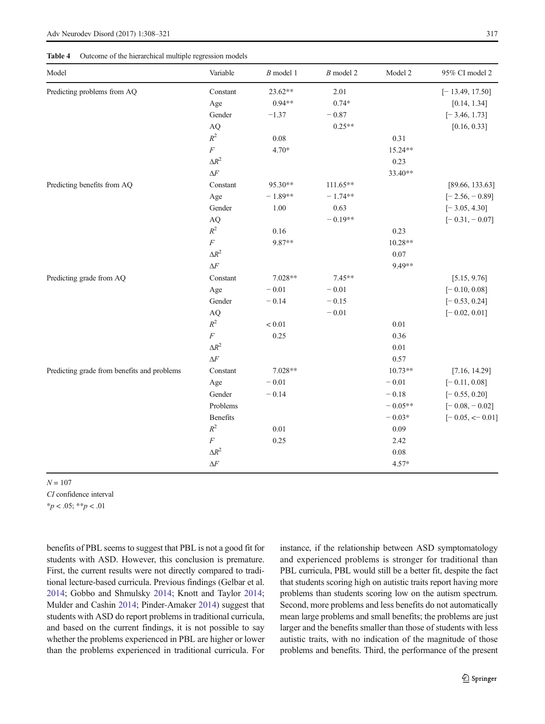#### <span id="page-9-0"></span>Table 4 Outcome of the hierarchical multiple regression models

| Model                                       | Variable        | $B$ model 1 | $B$ model 2 | Model 2   | 95% CI model 2             |
|---------------------------------------------|-----------------|-------------|-------------|-----------|----------------------------|
| Predicting problems from AQ                 | Constant        | 23.62**     | 2.01        |           | $[-13.49, 17.50]$          |
|                                             | Age             | $0.94**$    | $0.74*$     |           | [0.14, 1.34]               |
|                                             | Gender          | $-1.37$     | $-0.87$     |           | $[-3.46, 1.73]$            |
|                                             | AQ              |             | $0.25**$    |           | [0.16, 0.33]               |
|                                             | $R^2$           | 0.08        |             | 0.31      |                            |
|                                             | $\cal F$        | $4.70*$     |             | 15.24**   |                            |
|                                             | $\Delta R^2$    |             |             | 0.23      |                            |
|                                             | $\Delta\!F$     |             |             | 33.40**   |                            |
| Predicting benefits from AQ                 | Constant        | 95.30**     | $111.65**$  |           | [89.66, 133.63]            |
|                                             | Age             | $-1.89**$   | $-1.74**$   |           | $[-2.56, -0.89]$           |
|                                             | Gender          | $1.00\,$    | 0.63        |           | $[-3.05, 4.30]$            |
|                                             | AQ              |             | $-0.19**$   |           | $[-0.31, -0.07]$           |
|                                             | $\mathbb{R}^2$  | 0.16        |             | 0.23      |                            |
|                                             | $\cal F$        | 9.87**      |             | $10.28**$ |                            |
|                                             | $\Delta R^2$    |             |             | 0.07      |                            |
|                                             | $\Delta F$      |             |             | 9.49**    |                            |
| Predicting grade from AQ                    | Constant        | 7.028**     | $7.45**$    |           | [5.15, 9.76]               |
|                                             | Age             | $-0.01$     | $-0.01$     |           | $[-0.10, 0.08]$            |
|                                             | Gender          | $-0.14$     | $-0.15$     |           | $[-0.53, 0.24]$            |
|                                             | AQ              |             | $=0.01\,$   |           | $[-0.02, 0.01]$            |
|                                             | $\mathbb{R}^2$  | $< 0.01$    |             | $0.01\,$  |                            |
|                                             | $\cal F$        | 0.25        |             | 0.36      |                            |
|                                             | $\Delta R^2$    |             |             | $0.01\,$  |                            |
|                                             | $\Delta F$      |             |             | 0.57      |                            |
| Predicting grade from benefits and problems | Constant        | 7.028**     |             | $10.73**$ | [7.16, 14.29]              |
|                                             | Age             | $-0.01$     |             | $-0.01$   | $[-0.11, 0.08]$            |
|                                             | Gender          | $-0.14$     |             | $-0.18$   | $[-0.55, 0.20]$            |
|                                             | Problems        |             |             | $-0.05**$ | $[-0.08, -0.02]$           |
|                                             | <b>Benefits</b> |             |             | $-0.03*$  | $[-0.05, \leftarrow 0.01]$ |
|                                             | $R^2$           | 0.01        |             | 0.09      |                            |
|                                             | $\cal F$        | 0.25        |             | 2.42      |                            |
|                                             | $\Delta R^2$    |             |             | 0.08      |                            |
|                                             | $\Delta\!F$     |             |             | $4.57*$   |                            |

 $N = 107$ 

CI confidence interval

 $*_{p} < .05; **_{p} < .01$ 

benefits of PBL seems to suggest that PBL is not a good fit for students with ASD. However, this conclusion is premature. First, the current results were not directly compared to traditional lecture-based curricula. Previous findings (Gelbar et al. [2014;](#page-12-0) Gobbo and Shmulsky [2014;](#page-12-0) Knott and Taylor [2014](#page-12-0); Mulder and Cashin [2014](#page-12-0); Pinder-Amaker [2014\)](#page-12-0) suggest that students with ASD do report problems in traditional curricula, and based on the current findings, it is not possible to say whether the problems experienced in PBL are higher or lower than the problems experienced in traditional curricula. For instance, if the relationship between ASD symptomatology and experienced problems is stronger for traditional than PBL curricula, PBL would still be a better fit, despite the fact that students scoring high on autistic traits report having more problems than students scoring low on the autism spectrum. Second, more problems and less benefits do not automatically mean large problems and small benefits; the problems are just larger and the benefits smaller than those of students with less autistic traits, with no indication of the magnitude of those problems and benefits. Third, the performance of the present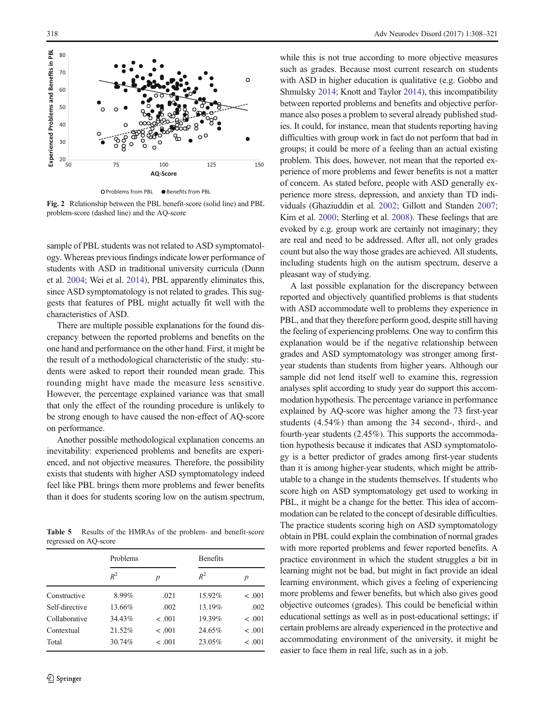<span id="page-10-0"></span>

O Problems from PBL ● Benefits from PBL

Fig. 2 Relationship between the PBL benefit-score (solid line) and PBL problem-score (dashed line) and the AQ-score

sample of PBL students was not related to ASD symptomatology. Whereas previous findings indicate lower performance of students with ASD in traditional university curricula (Dunn et al. [2004](#page-12-0); Wei et al. [2014\)](#page-13-0), PBL apparently eliminates this, since ASD symptomatology is not related to grades. This suggests that features of PBL might actually fit well with the characteristics of ASD.

There are multiple possible explanations for the found discrepancy between the reported problems and benefits on the one hand and performance on the other hand. First, it might be the result of a methodological characteristic of the study: students were asked to report their rounded mean grade. This rounding might have made the measure less sensitive. However, the percentage explained variance was that small that only the effect of the rounding procedure is unlikely to be strong enough to have caused the non-effect of AQ-score on performance.

Another possible methodological explanation concerns an inevitability: experienced problems and benefits are experienced, and not objective measures. Therefore, the possibility exists that students with higher ASD symptomatology indeed feel like PBL brings them more problems and fewer benefits than it does for students scoring low on the autism spectrum,

Table 5 Results of the HMRAs of the problem- and benefit-score regressed on AQ-score

|                | Problems |                  | <b>Benefits</b> |                  |  |
|----------------|----------|------------------|-----------------|------------------|--|
|                | $R^2$    | $\boldsymbol{p}$ | $R^2$           | $\boldsymbol{p}$ |  |
| Constructive   | 8.99%    | .021             | 15.92%          | < 0.001          |  |
| Self-directive | 13.66%   | .002             | 13.19%          | .002             |  |
| Collaborative  | 34.43%   | $-.001$          | 19.39%          | < 0.001          |  |
| Contextual     | 21.52%   | $-.001$          | 24.65%          | < .001           |  |
| Total          | 30.74%   | $-.001$          | 23.05%          | < 0.001          |  |

while this is not true according to more objective measures such as grades. Because most current research on students with ASD in higher education is qualitative (e.g. Gobbo and Shmulsky [2014](#page-12-0); Knott and Taylor [2014\)](#page-12-0), this incompatibility between reported problems and benefits and objective performance also poses a problem to several already published studies. It could, for instance, mean that students reporting having difficulties with group work in fact do not perform that bad in groups; it could be more of a feeling than an actual existing problem. This does, however, not mean that the reported experience of more problems and fewer benefits is not a matter of concern. As stated before, people with ASD generally experience more stress, depression, and anxiety than TD individuals (Ghaziuddin et al. [2002;](#page-12-0) Gillott and Standen [2007;](#page-12-0) Kim et al. [2000;](#page-12-0) Sterling et al. [2008\)](#page-12-0). These feelings that are evoked by e.g. group work are certainly not imaginary; they are real and need to be addressed. After all, not only grades count but also the way those grades are achieved. All students, including students high on the autism spectrum, deserve a pleasant way of studying.

A last possible explanation for the discrepancy between reported and objectively quantified problems is that students with ASD accommodate well to problems they experience in PBL, and that they therefore perform good, despite still having the feeling of experiencing problems. One way to confirm this explanation would be if the negative relationship between grades and ASD symptomatology was stronger among firstyear students than students from higher years. Although our sample did not lend itself well to examine this, regression analyses split according to study year do support this accommodation hypothesis. The percentage variance in performance explained by AQ-score was higher among the 73 first-year students (4.54%) than among the 34 second-, third-, and fourth-year students (2.45%). This supports the accommodation hypothesis because it indicates that ASD symptomatology is a better predictor of grades among first-year students than it is among higher-year students, which might be attributable to a change in the students themselves. If students who score high on ASD symptomatology get used to working in PBL, it might be a change for the better. This idea of accommodation can be related to the concept of desirable difficulties. The practice students scoring high on ASD symptomatology obtain in PBL could explain the combination of normal grades with more reported problems and fewer reported benefits. A practice environment in which the student struggles a bit in learning might not be bad, but might in fact provide an ideal learning environment, which gives a feeling of experiencing more problems and fewer benefits, but which also gives good objective outcomes (grades). This could be beneficial within educational settings as well as in post-educational settings; if certain problems are already experienced in the protective and accommodating environment of the university, it might be easier to face them in real life, such as in a job.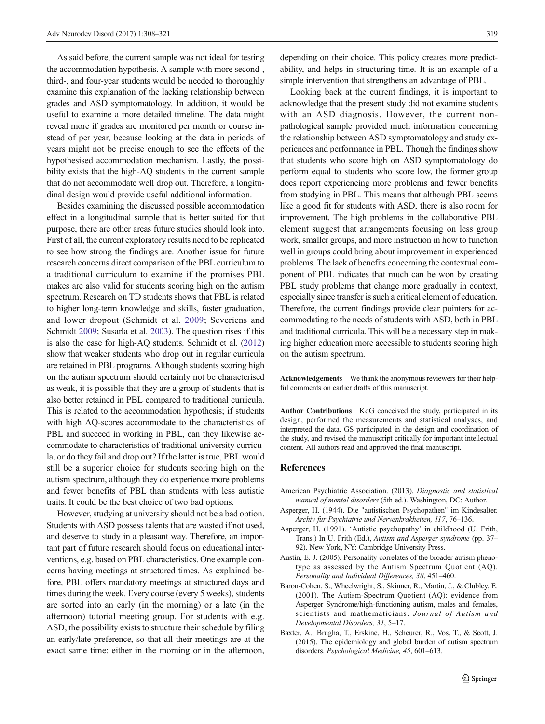<span id="page-11-0"></span>As said before, the current sample was not ideal for testing the accommodation hypothesis. A sample with more second-, third-, and four-year students would be needed to thoroughly examine this explanation of the lacking relationship between grades and ASD symptomatology. In addition, it would be useful to examine a more detailed timeline. The data might reveal more if grades are monitored per month or course instead of per year, because looking at the data in periods of years might not be precise enough to see the effects of the hypothesised accommodation mechanism. Lastly, the possibility exists that the high-AQ students in the current sample that do not accommodate well drop out. Therefore, a longitudinal design would provide useful additional information.

Besides examining the discussed possible accommodation effect in a longitudinal sample that is better suited for that purpose, there are other areas future studies should look into. First of all, the current exploratory results need to be replicated to see how strong the findings are. Another issue for future research concerns direct comparison of the PBL curriculum to a traditional curriculum to examine if the promises PBL makes are also valid for students scoring high on the autism spectrum. Research on TD students shows that PBL is related to higher long-term knowledge and skills, faster graduation, and lower dropout (Schmidt et al. [2009;](#page-12-0) Severiens and Schmidt [2009;](#page-12-0) Susarla et al. [2003](#page-12-0)). The question rises if this is also the case for high-AQ students. Schmidt et al. [\(2012\)](#page-12-0) show that weaker students who drop out in regular curricula are retained in PBL programs. Although students scoring high on the autism spectrum should certainly not be characterised as weak, it is possible that they are a group of students that is also better retained in PBL compared to traditional curricula. This is related to the accommodation hypothesis; if students with high AQ-scores accommodate to the characteristics of PBL and succeed in working in PBL, can they likewise accommodate to characteristics of traditional university curricula, or do they fail and drop out? If the latter is true, PBL would still be a superior choice for students scoring high on the autism spectrum, although they do experience more problems and fewer benefits of PBL than students with less autistic traits. It could be the best choice of two bad options.

However, studying at university should not be a bad option. Students with ASD possess talents that are wasted if not used, and deserve to study in a pleasant way. Therefore, an important part of future research should focus on educational interventions, e.g. based on PBL characteristics. One example concerns having meetings at structured times. As explained before, PBL offers mandatory meetings at structured days and times during the week. Every course (every 5 weeks), students are sorted into an early (in the morning) or a late (in the afternoon) tutorial meeting group. For students with e.g. ASD, the possibility exists to structure their schedule by filing an early/late preference, so that all their meetings are at the exact same time: either in the morning or in the afternoon, depending on their choice. This policy creates more predictability, and helps in structuring time. It is an example of a simple intervention that strengthens an advantage of PBL.

Looking back at the current findings, it is important to acknowledge that the present study did not examine students with an ASD diagnosis. However, the current nonpathological sample provided much information concerning the relationship between ASD symptomatology and study experiences and performance in PBL. Though the findings show that students who score high on ASD symptomatology do perform equal to students who score low, the former group does report experiencing more problems and fewer benefits from studying in PBL. This means that although PBL seems like a good fit for students with ASD, there is also room for improvement. The high problems in the collaborative PBL element suggest that arrangements focusing on less group work, smaller groups, and more instruction in how to function well in groups could bring about improvement in experienced problems. The lack of benefits concerning the contextual component of PBL indicates that much can be won by creating PBL study problems that change more gradually in context, especially since transfer is such a critical element of education. Therefore, the current findings provide clear pointers for accommodating to the needs of students with ASD, both in PBL and traditional curricula. This will be a necessary step in making higher education more accessible to students scoring high on the autism spectrum.

Acknowledgements We thank the anonymous reviewers for their helpful comments on earlier drafts of this manuscript.

Author Contributions KdG conceived the study, participated in its design, performed the measurements and statistical analyses, and interpreted the data. GS participated in the design and coordination of the study, and revised the manuscript critically for important intellectual content. All authors read and approved the final manuscript.

#### References

- American Psychiatric Association. (2013). Diagnostic and statistical manual of mental disorders (5th ed.). Washington, DC: Author.
- Asperger, H. (1944). Die "autistischen Psychopathen" im Kindesalter. Archiv fur Psychiatrie und Nervenkrakheiten, 117, 76–136.
- Asperger, H. (1991). 'Autistic psychopathy' in childhood (U. Frith, Trans.) In U. Frith (Ed.), Autism and Asperger syndrome (pp. 37– 92). New York, NY: Cambridge University Press.
- Austin, E. J. (2005). Personality correlates of the broader autism phenotype as assessed by the Autism Spectrum Quotient (AQ). Personality and Individual Differences, 38, 451–460.
- Baron-Cohen, S., Wheelwright, S., Skinner, R., Martin, J., & Clubley, E. (2001). The Autism-Spectrum Quotient (AQ): evidence from Asperger Syndrome/high-functioning autism, males and females, scientists and mathematicians. Journal of Autism and Developmental Disorders, 31, 5–17.
- Baxter, A., Brugha, T., Erskine, H., Scheurer, R., Vos, T., & Scott, J. (2015). The epidemiology and global burden of autism spectrum disorders. Psychological Medicine, 45, 601–613.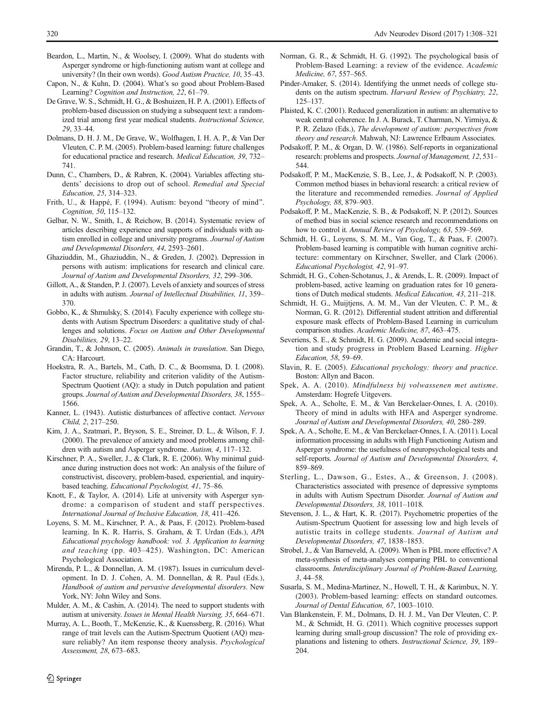- <span id="page-12-0"></span>Beardon, L., Martin, N., & Woolsey, I. (2009). What do students with Asperger syndrome or high-functioning autism want at college and university? (In their own words). Good Autism Practice, 10, 35–43.
- Capon, N., & Kuhn, D. (2004). What's so good about Problem-Based Learning? Cognition and Instruction, 22, 61–79.
- De Grave, W. S., Schmidt, H. G., & Boshuizen, H. P. A. (2001). Effects of problem-based discussion on studying a subsequent text: a randomized trial among first year medical students. Instructional Science, 29, 33–44.
- Dolmans, D. H. J. M., De Grave, W., Wolfhagen, I. H. A. P., & Van Der Vleuten, C. P. M. (2005). Problem-based learning: future challenges for educational practice and research. Medical Education, 39, 732– 741.
- Dunn, C., Chambers, D., & Rabren, K. (2004). Variables affecting students' decisions to drop out of school. Remedial and Special Education, 25, 314–323.
- Frith, U., & Happé, F. (1994). Autism: beyond "theory of mind". Cognition, 50, 115–132.
- Gelbar, N. W., Smith, I., & Reichow, B. (2014). Systematic review of articles describing experience and supports of individuals with autism enrolled in college and university programs. Journal of Autism and Developmental Disorders, 44, 2593–2601.
- Ghaziuddin, M., Ghaziuddin, N., & Greden, J. (2002). Depression in persons with autism: implications for research and clinical care. Journal of Autism and Developmental Disorders, 32, 299–306.
- Gillott, A., & Standen, P. J. (2007). Levels of anxiety and sources of stress in adults with autism. Journal of Intellectual Disabilities, 11, 359– 370.
- Gobbo, K., & Shmulsky, S. (2014). Faculty experience with college students with Autism Spectrum Disorders: a qualitative study of challenges and solutions. Focus on Autism and Other Developmental Disabilities, 29, 13–22.
- Grandin, T., & Johnson, C. (2005). Animals in translation. San Diego, CA: Harcourt.
- Hoekstra, R. A., Bartels, M., Cath, D. C., & Boomsma, D. I. (2008). Factor structure, reliability and criterion validity of the Autism-Spectrum Quotient (AQ): a study in Dutch population and patient groups. Journal of Autism and Developmental Disorders, 38, 1555– 1566.
- Kanner, L. (1943). Autistic disturbances of affective contact. Nervous Child, 2, 217–250.
- Kim, J. A., Szatmari, P., Bryson, S. E., Streiner, D. L., & Wilson, F. J. (2000). The prevalence of anxiety and mood problems among children with autism and Asperger syndrome. Autism, 4, 117–132.
- Kirschner, P. A., Sweller, J., & Clark, R. E. (2006). Why minimal guidance during instruction does not work: An analysis of the failure of constructivist, discovery, problem-based, experiential, and inquirybased teaching. Educational Psychologist, 41, 75–86.
- Knott, F., & Taylor, A. (2014). Life at university with Asperger syndrome: a comparison of student and staff perspectives. International Journal of Inclusive Education, 18, 411–426.
- Loyens, S. M. M., Kirschner, P. A., & Paas, F. (2012). Problem-based learning. In K. R. Harris, S. Graham, & T. Urdan (Eds.), APA Educational psychology handbook: vol. 3. Application to learning and teaching (pp. 403–425). Washington, DC: American Psychological Association.
- Mirenda, P. L., & Donnellan, A. M. (1987). Issues in curriculum development. In D. J. Cohen, A. M. Donnellan, & R. Paul (Eds.), Handbook of autism and pervasive developmental disorders. New York, NY: John Wiley and Sons.
- Mulder, A. M., & Cashin, A. (2014). The need to support students with autism at university. Issues in Mental Health Nursing, 35, 664–671.
- Murray, A. L., Booth, T., McKenzie, K., & Kuenssberg, R. (2016). What range of trait levels can the Autism-Spectrum Quotient (AQ) measure reliably? An item response theory analysis. Psychological Assessment, 28, 673–683.
- Norman, G. R., & Schmidt, H. G. (1992). The psychological basis of Problem-Based Learning: a review of the evidence. Academic Medicine, 67, 557–565.
- Pinder-Amaker, S. (2014). Identifying the unmet needs of college students on the autism spectrum. Harvard Review of Psychiatry, 22, 125–137.
- Plaisted, K. C. (2001). Reduced generalization in autism: an alternative to weak central coherence. In J. A. Burack, T. Charman, N. Yirmiya, & P. R. Zelazo (Eds.), The development of autism: perspectives from theory and research. Mahwah, NJ: Lawrence Erlbaum Associates.
- Podsakoff, P. M., & Organ, D. W. (1986). Self-reports in organizational research: problems and prospects. Journal of Management, 12, 531– 544.
- Podsakoff, P. M., MacKenzie, S. B., Lee, J., & Podsakoff, N. P. (2003). Common method biases in behavioral research: a critical review of the literature and recommended remedies. Journal of Applied Psychology, 88, 879–903.
- Podsakoff, P. M., MacKenzie, S. B., & Podsakoff, N. P. (2012). Sources of method bias in social science research and recommendations on how to control it. Annual Review of Psychology, 63, 539–569.
- Schmidt, H. G., Loyens, S. M. M., Van Gog, T., & Paas, F. (2007). Problem-based learning is compatible with human cognitive architecture: commentary on Kirschner, Sweller, and Clark (2006). Educational Psychologist, 42, 91–97.
- Schmidt, H. G., Cohen-Schotanus, J., & Arends, L. R. (2009). Impact of problem-based, active learning on graduation rates for 10 generations of Dutch medical students. Medical Education, 43, 211–218.
- Schmidt, H. G., Muijtjens, A. M. M., Van der Vleuten, C. P. M., & Norman, G. R. (2012). Differential student attrition and differential exposure mask effects of Problem-Based Learning in curriculum comparison studies. Academic Medicine, 87, 463–475.
- Severiens, S. E., & Schmidt, H. G. (2009). Academic and social integration and study progress in Problem Based Learning. Higher Education, 58, 59–69.
- Slavin, R. E. (2005). Educational psychology: theory and practice. Boston: Allyn and Bacon.
- Spek, A. A. (2010). Mindfulness bij volwassenen met autisme. Amsterdam: Hogrefe Uitgevers.
- Spek, A. A., Scholte, E. M., & Van Berckelaer-Onnes, I. A. (2010). Theory of mind in adults with HFA and Asperger syndrome. Journal of Autism and Developmental Disorders, 40, 280–289.
- Spek, A. A., Scholte, E. M., & Van Berckelaer-Onnes, I. A. (2011). Local information processing in adults with High Functioning Autism and Asperger syndrome: the usefulness of neuropsychological tests and self-reports. Journal of Autism and Developmental Disorders, 4, 859–869.
- Sterling, L., Dawson, G., Estes, A., & Greenson, J. (2008). Characteristics associated with presence of depressive symptoms in adults with Autism Spectrum Disorder. Journal of Autism and Developmental Disorders, 38, 1011–1018.
- Stevenson, J. L., & Hart, K. R. (2017). Psychometric properties of the Autism-Spectrum Quotient for assessing low and high levels of autistic traits in college students. Journal of Autism and Developmental Disorders, 47, 1838–1853.
- Strobel, J., & Van Barneveld, A. (2009). When is PBL more effective? A meta-synthesis of meta-analyses comparing PBL to conventional classrooms. Interdisciplinary Journal of Problem-Based Learning, 3, 44–58.
- Susarla, S. M., Medina-Martinez, N., Howell, T. H., & Karimbux, N. Y. (2003). Problem-based learning: effects on standard outcomes. Journal of Dental Education, 67, 1003–1010.
- Van Blankenstein, F. M., Dolmans, D. H. J. M., Van Der Vleuten, C. P. M., & Schmidt, H. G. (2011). Which cognitive processes support learning during small-group discussion? The role of providing explanations and listening to others. Instructional Science, 39, 189– 204.